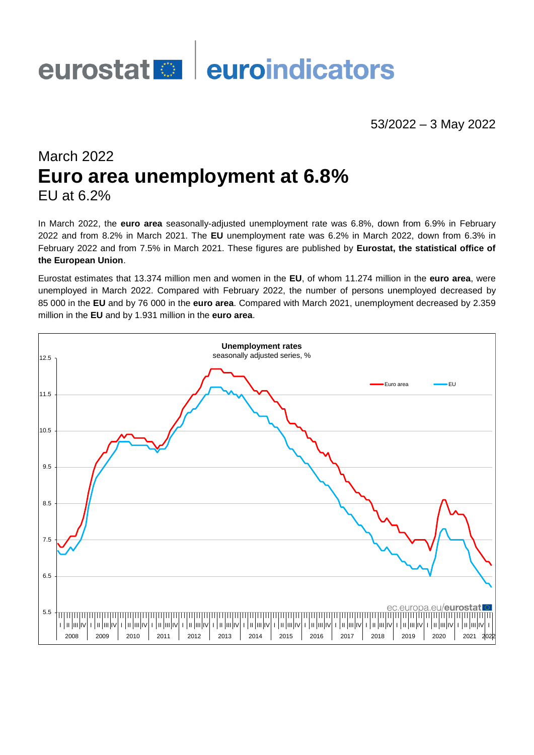# eurostat<sup>es</sup> euroindicators

# 53/2022 – 3 May 2022

# March 2022 **Euro area unemployment at 6.8%** EU at 6.2%

In March 2022, the **euro area** seasonally-adjusted unemployment rate was 6.8%, down from 6.9% in February 2022 and from 8.2% in March 2021. The **EU** unemployment rate was 6.2% in March 2022, down from 6.3% in February 2022 and from 7.5% in March 2021. These figures are published by **Eurostat, the statistical office of the European Union**.

Eurostat estimates that 13.374 million men and women in the **EU**, of whom 11.274 million in the **euro area**, were unemployed in March 2022. Compared with February 2022, the number of persons unemployed decreased by 85 000 in the **EU** and by 76 000 in the **euro area**. Compared with March 2021, unemployment decreased by 2.359 million in the **EU** and by 1.931 million in the **euro area**.

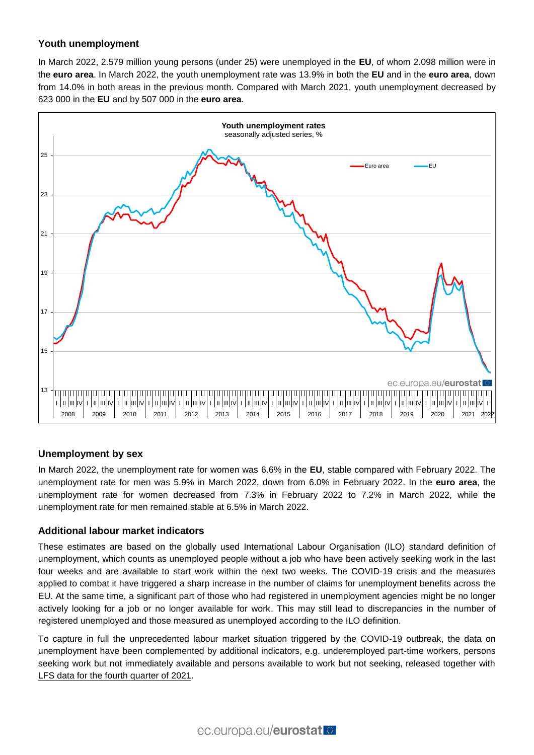# **Youth unemployment**

In March 2022, 2.579 million young persons (under 25) were unemployed in the **EU**, of whom 2.098 million were in the **euro area**. In March 2022, the youth unemployment rate was 13.9% in both the **EU** and in the **euro area**, down from 14.0% in both areas in the previous month. Compared with March 2021, youth unemployment decreased by 623 000 in the **EU** and by 507 000 in the **euro area**.



## **Unemployment by sex**

In March 2022, the unemployment rate for women was 6.6% in the **EU**, stable compared with February 2022. The unemployment rate for men was 5.9% in March 2022, down from 6.0% in February 2022. In the **euro area**, the unemployment rate for women decreased from 7.3% in February 2022 to 7.2% in March 2022, while the unemployment rate for men remained stable at 6.5% in March 2022.

## **Additional labour market indicators**

These estimates are based on the globally used International Labour Organisation (ILO) standard definition of unemployment, which counts as unemployed people without a job who have been actively seeking work in the last four weeks and are available to start work within the next two weeks. The COVID-19 crisis and the measures applied to combat it have triggered a sharp increase in the number of claims for unemployment benefits across the EU. At the same time, a significant part of those who had registered in unemployment agencies might be no longer actively looking for a job or no longer available for work. This may still lead to discrepancies in the number of registered unemployed and those measured as unemployed according to the ILO definition.

To capture in full the unprecedented labour market situation triggered by the COVID-19 outbreak, the data on unemployment have been complemented by additional indicators, e.g. underemployed part-time workers, persons seeking work but not immediately available and persons available to work but not seeking, released together with [LFS data for the fourth quarter of 2021.](https://ec.europa.eu/eurostat/statistics-explained/index.php?title=EU_labour_market_-_quarterly_statistics)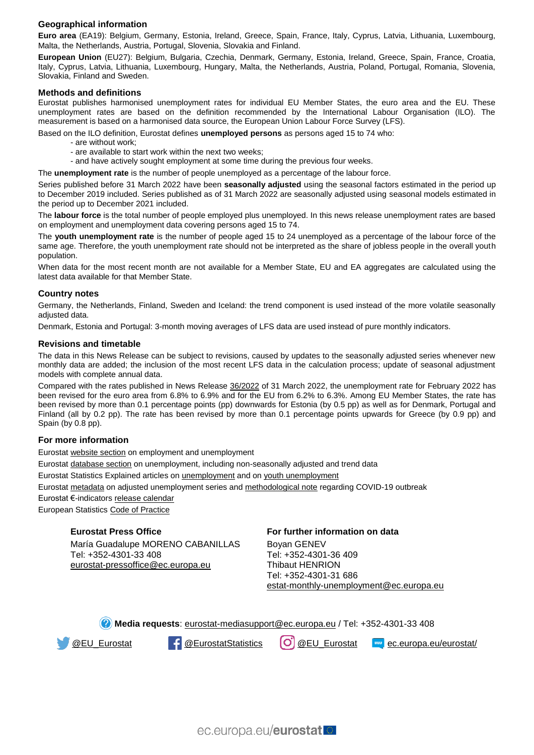#### **Geographical information**

**Euro area** (EA19): Belgium, Germany, Estonia, Ireland, Greece, Spain, France, Italy, Cyprus, Latvia, Lithuania, Luxembourg, Malta, the Netherlands, Austria, Portugal, Slovenia, Slovakia and Finland.

**European Union** (EU27): Belgium, Bulgaria, Czechia, Denmark, Germany, Estonia, Ireland, Greece, Spain, France, Croatia, Italy, Cyprus, Latvia, Lithuania, Luxembourg, Hungary, Malta, the Netherlands, Austria, Poland, Portugal, Romania, Slovenia, Slovakia, Finland and Sweden.

#### **Methods and definitions**

Eurostat publishes harmonised unemployment rates for individual EU Member States, the euro area and the EU. These unemployment rates are based on the definition recommended by the International Labour Organisation (ILO). The measurement is based on a harmonised data source, the European Union Labour Force Survey (LFS).

Based on the ILO definition, Eurostat defines **unemployed persons** as persons aged 15 to 74 who:

- are without work;
- are available to start work within the next two weeks;
- and have actively sought employment at some time during the previous four weeks.

The **unemployment rate** is the number of people unemployed as a percentage of the labour force.

Series published before 31 March 2022 have been **seasonally adjusted** using the seasonal factors estimated in the period up to December 2019 included. Series published as of 31 March 2022 are seasonally adjusted using seasonal models estimated in the period up to December 2021 included.

The **labour force** is the total number of people employed plus unemployed. In this news release unemployment rates are based on employment and unemployment data covering persons aged 15 to 74.

The **youth unemployment rate** is the number of people aged 15 to 24 unemployed as a percentage of the labour force of the same age. Therefore, the youth unemployment rate should not be interpreted as the share of jobless people in the overall youth population.

When data for the most recent month are not available for a Member State, EU and EA aggregates are calculated using the latest data available for that Member State.

#### **Country notes**

Germany, the Netherlands, Finland, Sweden and Iceland: the trend component is used instead of the more volatile seasonally adjusted data.

Denmark, Estonia and Portugal: 3-month moving averages of LFS data are used instead of pure monthly indicators.

#### **Revisions and timetable**

The data in this News Release can be subject to revisions, caused by updates to the seasonally adjusted series whenever new monthly data are added; the inclusion of the most recent LFS data in the calculation process; update of seasonal adjustment models with complete annual data.

Compared with the rates published in News Release [36/2022](https://ec.europa.eu/eurostat/documents/2995521/14358254/3-31032022-AP-EN.pdf/56d0f0a6-de1f-9099-63e2-a2cbf543e4c2?t=1648654477051) of 31 March 2022, the unemployment rate for February 2022 has been revised for the euro area from 6.8% to 6.9% and for the EU from 6.2% to 6.3%. Among EU Member States, the rate has been revised by more than 0.1 percentage points (pp) downwards for Estonia (by 0.5 pp) as well as for Denmark, Portugal and Finland (all by 0.2 pp). The rate has been revised by more than 0.1 percentage points upwards for Greece (by 0.9 pp) and Spain (by 0.8 pp).

#### **For more information**

Eurosta[t website section](https://ec.europa.eu/eurostat/web/lfs/overview) on employment and unemployment

Eurosta[t database section](https://ec.europa.eu/eurostat/web/lfs/data/database) on unemployment, including non-seasonally adjusted and trend data

Eurostat Statistics Explained articles on **unemployment** and on [youth unemployment](https://ec.europa.eu/eurostat/statistics-explained/index.php/Youth_unemployment)

Eurosta[t metadata](https://ec.europa.eu/eurostat/cache/metadata/en/une_esms.htm) on adjusted unemployment series and [methodological note](https://ec.europa.eu/eurostat/data/metadata/covid-19-support-for-statisticians) regarding COVID-19 outbreak

Eurostat €-indicator[s release calendar](https://ec.europa.eu/eurostat/news/release-calendar)

European Statistic[s Code of Practice](https://ec.europa.eu/eurostat/web/products-catalogues/-/KS-02-18-142)

#### **Eurostat Press Office**

María Guadalupe MORENO CABANILLAS Tel: +352-4301-33 408 [eurostat-pressoffice@ec.europa.eu](mailto:eurostat-pressoffice@ec.europa.eu)

#### **For further information on data**

Boyan GENEV Tel: +352-4301-36 409 Thibaut HENRION Tel: +352-4301-31 686 [estat-monthly-unemployment@ec.europa.eu](mailto:ESTAT-monthly-unemployment@ec.europa.eu)

**Media requests**: [eurostat-mediasupport@ec.europa.eu](mailto:eurostat-mediasupport@ec.europa.eu) / Tel: +352-4301-33 408

[@EU\\_Eurostat](https://twitter.com/EU_Eurostat) **4** [@EurostatStatistics](https://www.facebook.com/EurostatStatistics) **[O]** [@EU\\_Eurostat](https://www.instagram.com/eu_eurostat/) **example constant** [ec.europa.eu/eurostat/](https://ec.europa.eu/eurostat/web/main)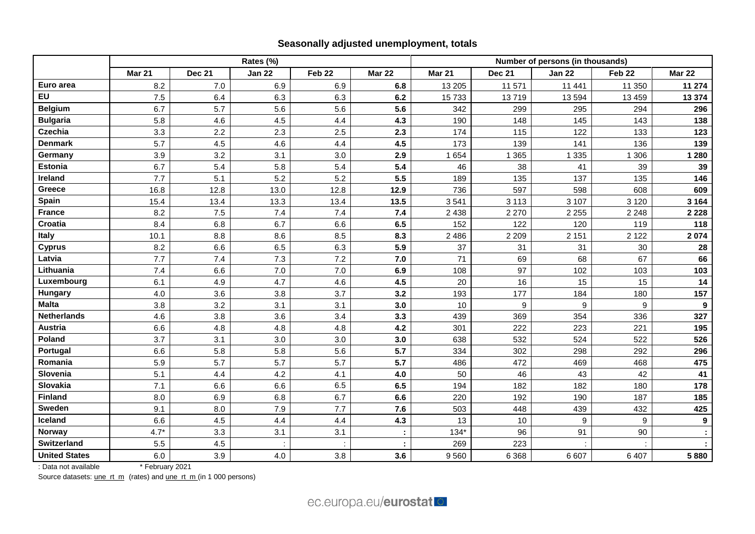# **Seasonally adjusted unemployment, totals**

|                      | Rates (%)     |        |               |                   |               | Number of persons (in thousands) |                  |               |                   |                  |
|----------------------|---------------|--------|---------------|-------------------|---------------|----------------------------------|------------------|---------------|-------------------|------------------|
|                      | <b>Mar 21</b> | Dec 21 | <b>Jan 22</b> | Feb <sub>22</sub> | <b>Mar 22</b> | Mar 21                           | <b>Dec 21</b>    | <b>Jan 22</b> | Feb <sub>22</sub> | <b>Mar 22</b>    |
| Euro area            | 8.2           | 7.0    | 6.9           | 6.9               | 6.8           | 13 205                           | 11 571           | 11 441        | 11 350            | 11 274           |
| <b>EU</b>            | 7.5           | 6.4    | 6.3           | 6.3               | 6.2           | 15733                            | 13719            | 13 594        | 13 459            | 13 3 74          |
| <b>Belgium</b>       | 6.7           | 5.7    | 5.6           | 5.6               | 5.6           | 342                              | 299              | 295           | 294               | 296              |
| <b>Bulgaria</b>      | 5.8           | 4.6    | 4.5           | 4.4               | 4.3           | 190                              | 148              | 145           | 143               | 138              |
| Czechia              | 3.3           | 2.2    | 2.3           | 2.5               | 2.3           | 174                              | 115              | 122           | 133               | 123              |
| <b>Denmark</b>       | 5.7           | 4.5    | 4.6           | 4.4               | 4.5           | 173                              | 139              | 141           | 136               | 139              |
| Germany              | 3.9           | 3.2    | 3.1           | 3.0               | 2.9           | 1 6 5 4                          | 1 3 6 5          | 1 3 3 5       | 1 306             | 1 2 8 0          |
| Estonia              | 6.7           | 5.4    | 5.8           | 5.4               | 5.4           | 46                               | 38               | 41            | 39                | 39               |
| Ireland              | 7.7           | 5.1    | 5.2           | 5.2               | 5.5           | 189                              | 135              | 137           | 135               | 146              |
| Greece               | 16.8          | 12.8   | 13.0          | 12.8              | 12.9          | 736                              | 597              | 598           | 608               | 609              |
| Spain                | 15.4          | 13.4   | 13.3          | 13.4              | 13.5          | 3541                             | 3 1 1 3          | 3 107         | 3 1 2 0           | 3 1 6 4          |
| <b>France</b>        | 8.2           | 7.5    | 7.4           | 7.4               | $7.4$         | 2 4 3 8                          | 2 2 7 0          | 2 2 5 5       | 2 2 4 8           | 2 2 2 8          |
| Croatia              | 8.4           | 6.8    | 6.7           | 6.6               | 6.5           | 152                              | 122              | 120           | 119               | 118              |
| Italy                | 10.1          | 8.8    | 8.6           | 8.5               | 8.3           | 2 4 8 6                          | 2 2 0 9          | 2 1 5 1       | 2 1 2 2           | 2 0 7 4          |
| <b>Cyprus</b>        | 8.2           | 6.6    | 6.5           | 6.3               | 5.9           | 37                               | 31               | 31            | 30                | 28               |
| Latvia               | 7.7           | 7.4    | 7.3           | 7.2               | 7.0           | 71                               | 69               | 68            | 67                | 66               |
| Lithuania            | 7.4           | 6.6    | 7.0           | 7.0               | 6.9           | 108                              | 97               | 102           | 103               | 103              |
| Luxembourg           | 6.1           | 4.9    | 4.7           | 4.6               | 4.5           | 20                               | 16               | 15            | 15                | 14               |
| Hungary              | 4.0           | 3.6    | 3.8           | 3.7               | 3.2           | 193                              | 177              | 184           | 180               | 157              |
| <b>Malta</b>         | 3.8           | 3.2    | 3.1           | 3.1               | 3.0           | 10                               | $\boldsymbol{9}$ | 9             | $\boldsymbol{9}$  | $\boldsymbol{9}$ |
| <b>Netherlands</b>   | 4.6           | 3.8    | 3.6           | 3.4               | 3.3           | 439                              | 369              | 354           | 336               | 327              |
| <b>Austria</b>       | 6.6           | 4.8    | 4.8           | 4.8               | 4.2           | 301                              | 222              | 223           | 221               | 195              |
| Poland               | 3.7           | 3.1    | 3.0           | 3.0               | 3.0           | 638                              | 532              | 524           | 522               | 526              |
| Portugal             | 6.6           | 5.8    | 5.8           | 5.6               | 5.7           | 334                              | 302              | 298           | 292               | 296              |
| Romania              | 5.9           | 5.7    | 5.7           | 5.7               | 5.7           | 486                              | 472              | 469           | 468               | 475              |
| Slovenia             | 5.1           | 4.4    | 4.2           | 4.1               | 4.0           | 50                               | 46               | 43            | 42                | 41               |
| Slovakia             | 7.1           | 6.6    | 6.6           | 6.5               | 6.5           | 194                              | 182              | 182           | 180               | 178              |
| <b>Finland</b>       | 8.0           | 6.9    | 6.8           | 6.7               | 6.6           | 220                              | 192              | 190           | 187               | 185              |
| Sweden               | 9.1           | 8.0    | 7.9           | 7.7               | 7.6           | 503                              | 448              | 439           | 432               | 425              |
| Iceland              | 6.6           | 4.5    | 4.4           | 4.4               | 4.3           | 13                               | 10               | 9             | 9                 | $\boldsymbol{9}$ |
| Norway               | $4.7*$        | 3.3    | 3.1           | 3.1               | ÷             | $134*$                           | 96               | 91            | 90                |                  |
| <b>Switzerland</b>   | 5.5           | 4.5    |               |                   |               | 269                              | 223              |               |                   |                  |
| <b>United States</b> | 6.0           | 3.9    | 4.0           | 3.8               | 3.6           | 9560                             | 6 3 6 8          | 6 607         | 6 4 0 7           | 5880             |

: Data not available \* February 2021

Source datasets: [une\\_rt\\_m](https://ec.europa.eu/eurostat/databrowser/bookmark/efcf7c9f-c4d7-4bc2-8c74-962ead60acfc?lang=en) (rates) an[d une\\_rt\\_m](https://ec.europa.eu/eurostat/databrowser/bookmark/dcf8c9ef-2324-4d54-9f8d-dbee489fb61b?lang=en) (in 1 000 persons)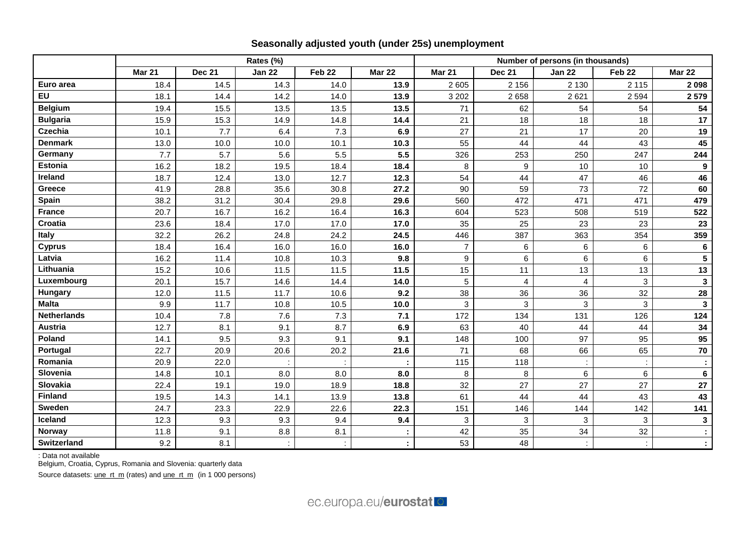|                    | Rates (%)     |               |               |        |               | Number of persons (in thousands) |                         |               |                   |                 |  |
|--------------------|---------------|---------------|---------------|--------|---------------|----------------------------------|-------------------------|---------------|-------------------|-----------------|--|
|                    | <b>Mar 21</b> | <b>Dec 21</b> | <b>Jan 22</b> | Feb 22 | <b>Mar 22</b> | <b>Mar 21</b>                    | <b>Dec 21</b>           | <b>Jan 22</b> | Feb <sub>22</sub> | <b>Mar 22</b>   |  |
| Euro area          | 18.4          | 14.5          | 14.3          | 14.0   | 13.9          | 2 6 0 5                          | 2 1 5 6                 | 2 1 3 0       | 2 1 1 5           | 2 0 9 8         |  |
| EU                 | 18.1          | 14.4          | 14.2          | 14.0   | 13.9          | 3 2 0 2                          | 2658                    | 2621          | 2 5 9 4           | 2579            |  |
| <b>Belgium</b>     | 19.4          | 15.5          | 13.5          | 13.5   | 13.5          | 71                               | 62                      | 54            | 54                | 54              |  |
| <b>Bulgaria</b>    | 15.9          | 15.3          | 14.9          | 14.8   | 14.4          | 21                               | 18                      | 18            | 18                | 17              |  |
| <b>Czechia</b>     | 10.1          | 7.7           | 6.4           | 7.3    | 6.9           | 27                               | 21                      | 17            | 20                | 19              |  |
| <b>Denmark</b>     | 13.0          | 10.0          | 10.0          | 10.1   | 10.3          | 55                               | 44                      | 44            | 43                | 45              |  |
| Germany            | 7.7           | 5.7           | 5.6           | 5.5    | 5.5           | 326                              | 253                     | 250           | 247               | 244             |  |
| <b>Estonia</b>     | 16.2          | 18.2          | 19.5          | 18.4   | 18.4          | 8                                | 9                       | 10            | 10                | 9               |  |
| Ireland            | 18.7          | 12.4          | 13.0          | 12.7   | 12.3          | 54                               | 44                      | 47            | 46                | 46              |  |
| Greece             | 41.9          | 28.8          | 35.6          | 30.8   | 27.2          | 90                               | 59                      | 73            | 72                | 60              |  |
| Spain              | 38.2          | 31.2          | 30.4          | 29.8   | 29.6          | 560                              | 472                     | 471           | 471               | 479             |  |
| <b>France</b>      | 20.7          | 16.7          | 16.2          | 16.4   | 16.3          | 604                              | 523                     | 508           | 519               | 522             |  |
| <b>Croatia</b>     | 23.6          | 18.4          | 17.0          | 17.0   | 17.0          | 35                               | 25                      | 23            | 23                | 23              |  |
| Italy              | 32.2          | 26.2          | 24.8          | 24.2   | 24.5          | 446                              | 387                     | 363           | 354               | 359             |  |
| <b>Cyprus</b>      | 18.4          | 16.4          | 16.0          | 16.0   | 16.0          | $\overline{7}$                   | 6                       | $\,6\,$       | 6                 | $6\phantom{1}6$ |  |
| Latvia             | 16.2          | 11.4          | 10.8          | 10.3   | 9.8           | 9                                | $6\phantom{a}$          | 6             | 6                 | 5               |  |
| Lithuania          | 15.2          | 10.6          | 11.5          | 11.5   | 11.5          | 15                               | 11                      | 13            | 13                | 13              |  |
| Luxembourg         | 20.1          | 15.7          | 14.6          | 14.4   | 14.0          | 5                                | $\overline{\mathbf{4}}$ | 4             | 3                 | $\mathbf{3}$    |  |
| Hungary            | 12.0          | 11.5          | 11.7          | 10.6   | 9.2           | 38                               | 36                      | 36            | 32                | 28              |  |
| <b>Malta</b>       | 9.9           | 11.7          | 10.8          | 10.5   | 10.0          | 3                                | 3                       | 3             | 3                 | $\mathbf{3}$    |  |
| <b>Netherlands</b> | 10.4          | 7.8           | 7.6           | 7.3    | 7.1           | 172                              | 134                     | 131           | 126               | 124             |  |
| <b>Austria</b>     | 12.7          | 8.1           | 9.1           | 8.7    | 6.9           | 63                               | 40                      | 44            | 44                | 34              |  |
| Poland             | 14.1          | 9.5           | 9.3           | 9.1    | 9.1           | 148                              | 100                     | 97            | 95                | 95              |  |
| Portugal           | 22.7          | 20.9          | 20.6          | 20.2   | 21.6          | 71                               | 68                      | 66            | 65                | 70              |  |
| Romania            | 20.9          | 22.0          |               |        |               | 115                              | 118                     |               |                   |                 |  |
| Slovenia           | 14.8          | 10.1          | 8.0           | 8.0    | 8.0           | 8                                | 8                       | $\,6\,$       | 6                 | 6               |  |
| Slovakia           | 22.4          | 19.1          | 19.0          | 18.9   | 18.8          | 32                               | 27                      | 27            | 27                | 27              |  |
| <b>Finland</b>     | 19.5          | 14.3          | 14.1          | 13.9   | 13.8          | 61                               | 44                      | 44            | 43                | 43              |  |
| <b>Sweden</b>      | 24.7          | 23.3          | 22.9          | 22.6   | 22.3          | 151                              | 146                     | 144           | 142               | 141             |  |
| Iceland            | 12.3          | 9.3           | 9.3           | 9.4    | 9.4           | 3                                | $\mathfrak{S}$          | 3             | 3                 | $\mathbf 3$     |  |
| <b>Norway</b>      | 11.8          | 9.1           | 8.8           | 8.1    |               | 42                               | 35                      | 34            | 32                |                 |  |
| Switzerland        | 9.2           | 8.1           |               |        |               | 53                               | 48                      |               |                   |                 |  |

# **Seasonally adjusted youth (under 25s) unemployment**

: Data not available

Belgium, Croatia, Cyprus, Romania and Slovenia: quarterly data

Source datasets: [une\\_rt\\_m](https://ec.europa.eu/eurostat/databrowser/bookmark/8a2199be-9e97-4967-a40d-b9a61a1e5a27?lang=en) (rates) an[d une\\_rt\\_m](https://ec.europa.eu/eurostat/databrowser/bookmark/f02d23e4-8cf9-4420-8abf-99413fa0f27d?lang=en) (in 1 000 persons)